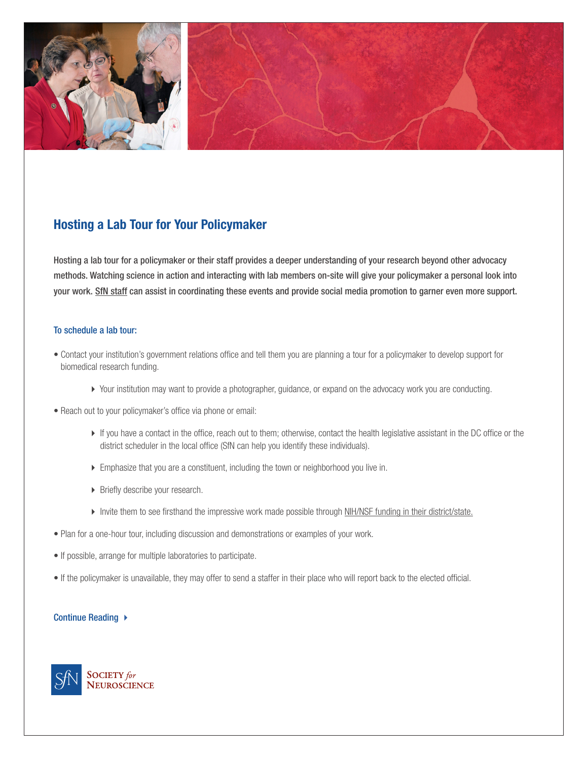

# **Hosting a Lab Tour for Your Policymaker**

Hosting a lab tour for a policymaker or their staff provides a deeper understanding of your research beyond other advocacy methods. Watching science in action and interacting with lab members on-site will give your policymaker a personal look into your work. [SfN staff](https://www.sfn.org/advocacy/us-advocacy-programs/hosting-a-lab-tour) can assist in coordinating these events and provide social media promotion to garner even more support.

## To schedule a lab tour:

- Contact your institution's government relations office and tell them you are planning a tour for a policymaker to develop support for biomedical research funding.
	- Your institution may want to provide a photographer, guidance, or expand on the advocacy work you are conducting.
- Reach out to your policymaker's office via phone or email:
	- If you have a contact in the office, reach out to them; otherwise, contact the health legislative assistant in the DC office or the district scheduler in the local office (SfN can help you identify these individuals).
	- Emphasize that you are a constituent, including the town or neighborhood you live in.
	- **Briefly describe your research.**
	- Invite them to see firsthand the impressive work made possible through [NIH/NSF funding in their district/state.](https://www.sfn.org/Advocacy/Neuroscience-Funding/Science-Funding-Advocacy-Tools/State-Fact-Sheet)
- Plan for a one-hour tour, including discussion and demonstrations or examples of your work.
- If possible, arrange for multiple laboratories to participate.
- If the policymaker is unavailable, they may offer to send a staffer in their place who will report back to the elected official.

## Continue Reading ▶